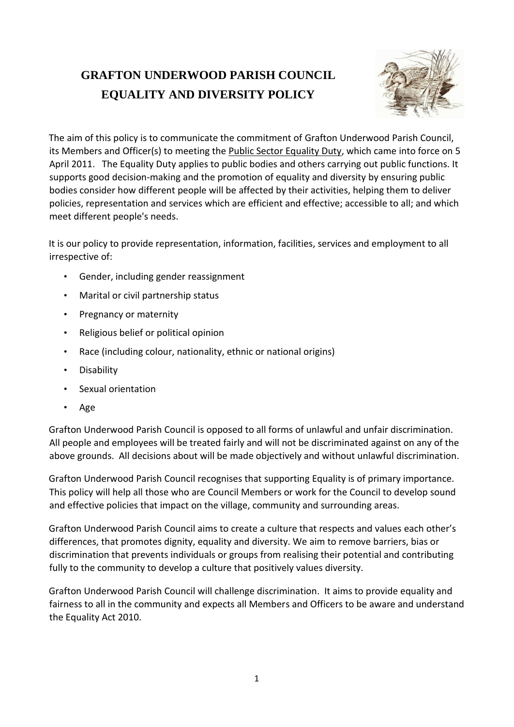## **GRAFTON UNDERWOOD PARISH COUNCIL EQUALITY AND DIVERSITY POLICY**



The aim of this policy is to communicate the commitment of Grafton Underwood Parish Council, its Members and Officer(s) to meeting the Public Sector Equality Duty, which came into force on 5 April 2011. The Equality Duty applies to public bodies and others carrying out public functions. It supports good decision-making and the promotion of equality and diversity by ensuring public bodies consider how different people will be affected by their activities, helping them to deliver policies, representation and services which are efficient and effective; accessible to all; and which meet different people's needs.

It is our policy to provide representation, information, facilities, services and employment to all irrespective of:

- Gender, including gender reassignment
- Marital or civil partnership status
- Pregnancy or maternity
- Religious belief or political opinion
- Race (including colour, nationality, ethnic or national origins)
- Disability
- Sexual orientation
- Age

Grafton Underwood Parish Council is opposed to all forms of unlawful and unfair discrimination. All people and employees will be treated fairly and will not be discriminated against on any of the above grounds. All decisions about will be made objectively and without unlawful discrimination.

Grafton Underwood Parish Council recognises that supporting Equality is of primary importance. This policy will help all those who are Council Members or work for the Council to develop sound and effective policies that impact on the village, community and surrounding areas.

Grafton Underwood Parish Council aims to create a culture that respects and values each other's differences, that promotes dignity, equality and diversity. We aim to remove barriers, bias or discrimination that prevents individuals or groups from realising their potential and contributing fully to the community to develop a culture that positively values diversity.

Grafton Underwood Parish Council will challenge discrimination. It aims to provide equality and fairness to all in the community and expects all Members and Officers to be aware and understand the Equality Act 2010.